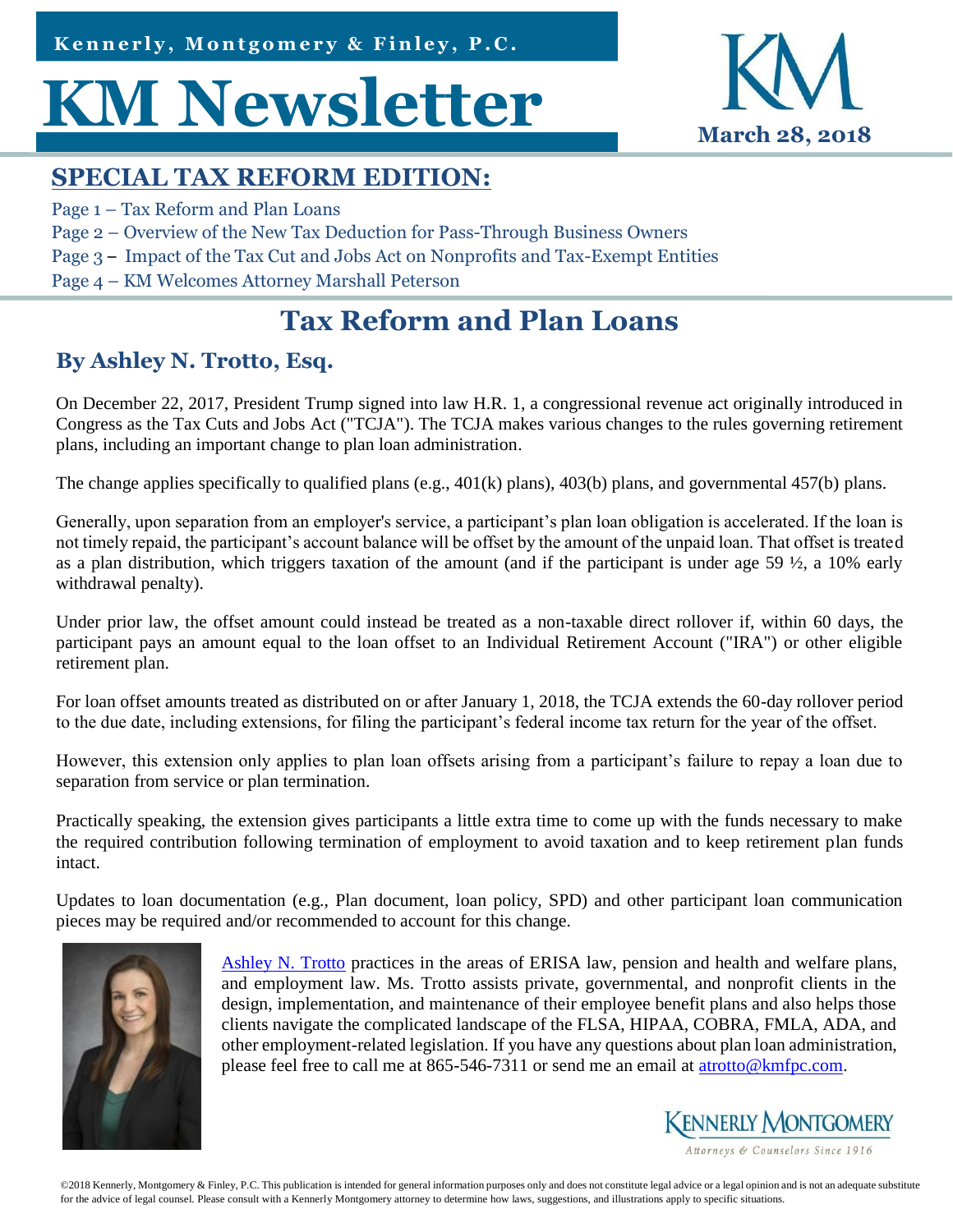http://conta.cc/2mNlULm Kennerly, Montgomery & Finley, P.C.

# **KM Newsletter MVI** March 28, 2018



### **SPECIAL TAX REFORM EDITION:**

- Page 1 Tax Reform and Plan Loans
- Page 2 Overview of the New Tax Deduction for Pass-Through Business Owners
- Page 3 Impact of the Tax Cut and Jobs Act on Nonprofits and Tax-Exempt Entities
- Page 4 KM Welcomes Attorney Marshall Peterson

# **Tax Reform and Plan Loans**

#### **By Ashley N. Trotto, Esq.**

On December 22, 2017, President Trump signed into law H.R. 1, a congressional revenue act originally introduced in Congress as the Tax Cuts and Jobs Act ("TCJA"). The TCJA makes various changes to the rules governing retirement plans, including an important change to plan loan administration.

The change applies specifically to qualified plans (e.g., 401(k) plans), 403(b) plans, and governmental 457(b) plans.

Generally, upon separation from an employer's service, a participant's plan loan obligation is accelerated. If the loan is not timely repaid, the participant's account balance will be offset by the amount of the unpaid loan. That offset is treated as a plan distribution, which triggers taxation of the amount (and if the participant is under age 59  $\frac{1}{2}$ , a 10% early withdrawal penalty).

Under prior law, the offset amount could instead be treated as a non-taxable direct rollover if, within 60 days, the participant pays an amount equal to the loan offset to an Individual Retirement Account ("IRA") or other eligible retirement plan.

For loan offset amounts treated as distributed on or after January 1, 2018, the TCJA extends the 60-day rollover period to the due date, including extensions, for filing the participant's federal income tax return for the year of the offset.

However, this extension only applies to plan loan offsets arising from a participant's failure to repay a loan due to separation from service or plan termination.

Practically speaking, the extension gives participants a little extra time to come up with the funds necessary to make the required contribution following termination of employment to avoid taxation and to keep retirement plan funds intact.

Updates to loan documentation (e.g., Plan document, loan policy, SPD) and other participant loan communication pieces may be required and/or recommended to account for this change.



[Ashley N. Trotto](http://www.kmfpc.com/attorneys/ashley_n_trotto.aspx) practices in the areas of ERISA law, pension and health and welfare plans, and employment law. Ms. Trotto assists private, governmental, and nonprofit clients in the design, implementation, and maintenance of their employee benefit plans and also helps those clients navigate the complicated landscape of the FLSA, HIPAA, COBRA, FMLA, ADA, and other employment-related legislation. If you have any questions about plan loan administration, please feel free to call me at 865-546-7311 or send me an email at [atrotto@kmfpc.com.](mailto:atrotto@kmfpc.com?subject=ACA%20Reporting)

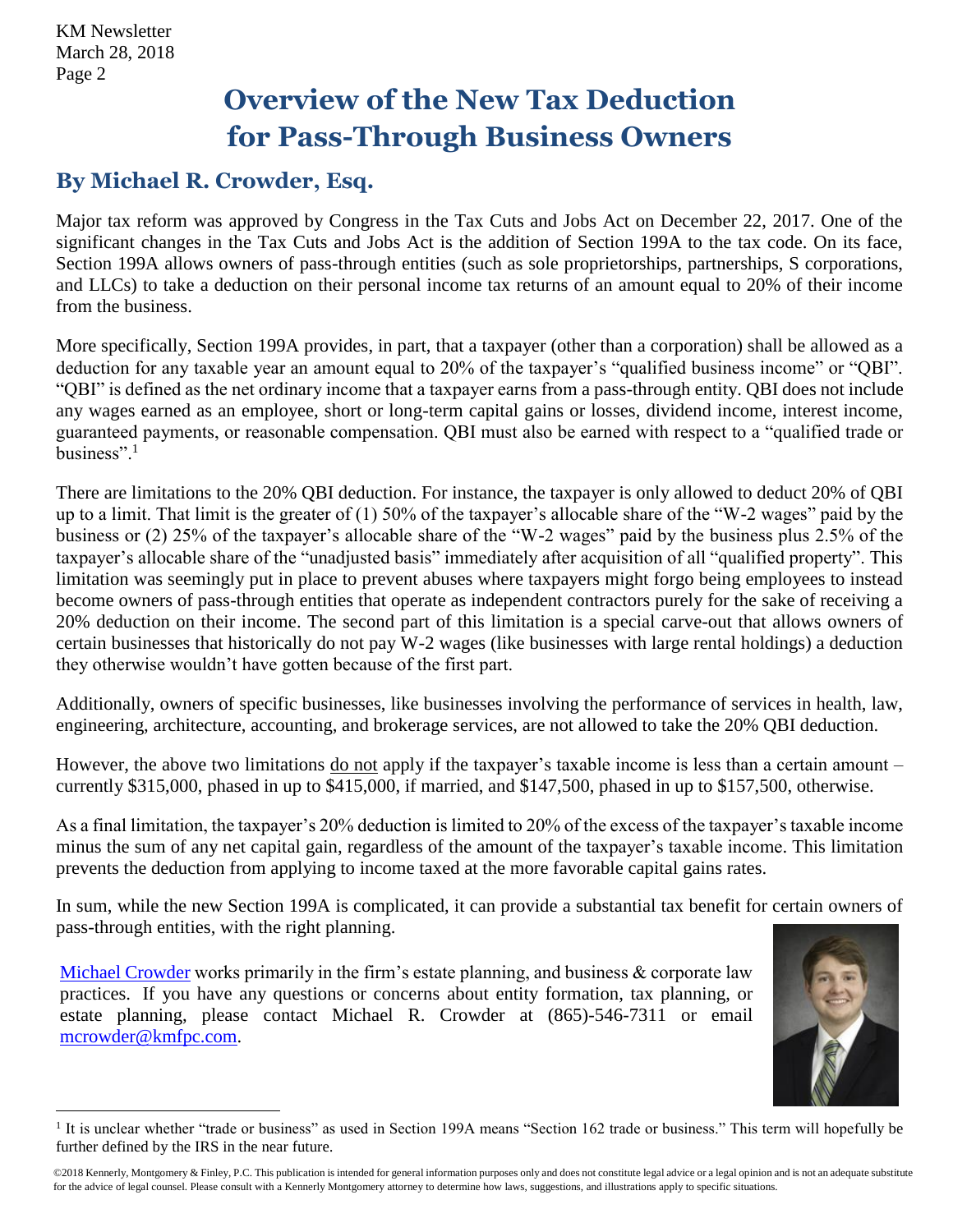## **Overview of the New Tax Deduction for Pass-Through Business Owners**

#### **By Michael R. Crowder, Esq.**

Major tax reform was approved by Congress in the Tax Cuts and Jobs Act on December 22, 2017. One of the significant changes in the Tax Cuts and Jobs Act is the addition of Section 199A to the tax code. On its face, Section 199A allows owners of pass-through entities (such as sole proprietorships, partnerships, S corporations, and LLCs) to take a deduction on their personal income tax returns of an amount equal to 20% of their income from the business.

More specifically, Section 199A provides, in part, that a taxpayer (other than a corporation) shall be allowed as a deduction for any taxable year an amount equal to 20% of the taxpayer's "qualified business income" or "QBI". "QBI" is defined as the net ordinary income that a taxpayer earns from a pass-through entity. QBI does not include any wages earned as an employee, short or long-term capital gains or losses, dividend income, interest income, guaranteed payments, or reasonable compensation. QBI must also be earned with respect to a "qualified trade or business". $1$ 

There are limitations to the 20% QBI deduction. For instance, the taxpayer is only allowed to deduct 20% of QBI up to a limit. That limit is the greater of (1) 50% of the taxpayer's allocable share of the "W-2 wages" paid by the business or (2) 25% of the taxpayer's allocable share of the "W-2 wages" paid by the business plus 2.5% of the taxpayer's allocable share of the "unadjusted basis" immediately after acquisition of all "qualified property". This limitation was seemingly put in place to prevent abuses where taxpayers might forgo being employees to instead become owners of pass-through entities that operate as independent contractors purely for the sake of receiving a 20% deduction on their income. The second part of this limitation is a special carve-out that allows owners of certain businesses that historically do not pay W-2 wages (like businesses with large rental holdings) a deduction they otherwise wouldn't have gotten because of the first part.

Additionally, owners of specific businesses, like businesses involving the performance of services in health, law, engineering, architecture, accounting, and brokerage services, are not allowed to take the 20% QBI deduction.

However, the above two limitations do not apply if the taxpayer's taxable income is less than a certain amount – currently \$315,000, phased in up to \$415,000, if married, and \$147,500, phased in up to \$157,500, otherwise.

As a final limitation, the taxpayer's 20% deduction is limited to 20% of the excess of the taxpayer's taxable income minus the sum of any net capital gain, regardless of the amount of the taxpayer's taxable income. This limitation prevents the deduction from applying to income taxed at the more favorable capital gains rates.

In sum, while the new Section 199A is complicated, it can provide a substantial tax benefit for certain owners of pass-through entities, with the right planning.

[Michael Crowder](http://www.kmfpc.com/attorneys/michael_r_crowder.aspx) works primarily in the firm's estate planning, and business & corporate law practices. If you have any questions or concerns about entity formation, tax planning, or estate planning, please contact Michael R. Crowder at (865)-546-7311 or email [mcrowder@kmfpc.com.](mailto:mcrowder@kmfpc.com)



l <sup>1</sup> It is unclear whether "trade or business" as used in Section 199A means "Section 162 trade or business." This term will hopefully be further defined by the IRS in the near future.

<sup>©2018</sup> Kennerly, Montgomery & Finley, P.C. This publication is intended for general information purposes only and does not constitute legal advice or a legal opinion and is not an adequate substitute for the advice of legal counsel. Please consult with a Kennerly Montgomery attorney to determine how laws, suggestions, and illustrations apply to specific situations.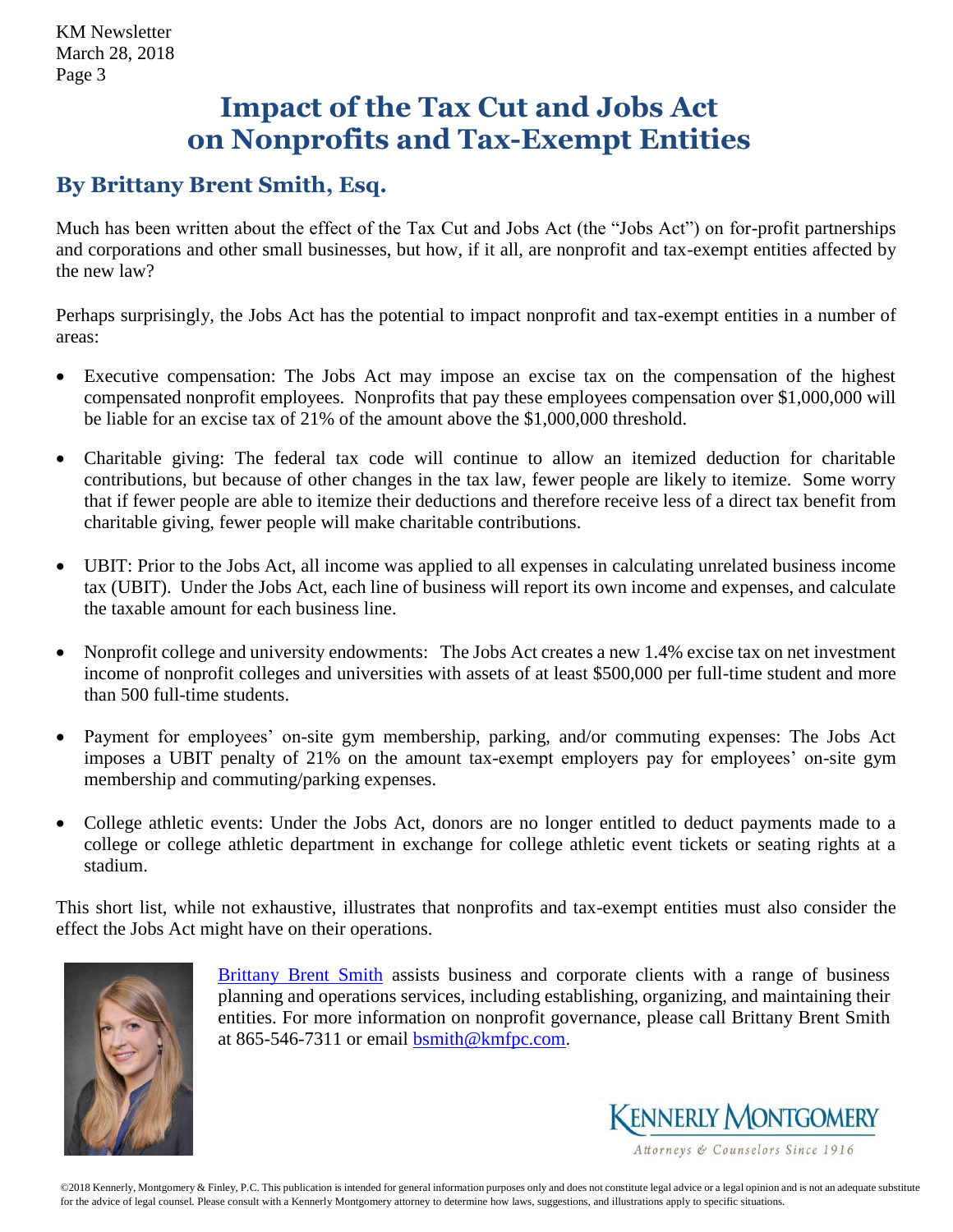## **Impact of the Tax Cut and Jobs Act on Nonprofits and Tax-Exempt Entities**

#### **By Brittany Brent Smith, Esq.**

Much has been written about the effect of the Tax Cut and Jobs Act (the "Jobs Act") on for-profit partnerships and corporations and other small businesses, but how, if it all, are nonprofit and tax-exempt entities affected by the new law?

Perhaps surprisingly, the Jobs Act has the potential to impact nonprofit and tax-exempt entities in a number of areas:

- Executive compensation: The Jobs Act may impose an excise tax on the compensation of the highest compensated nonprofit employees. Nonprofits that pay these employees compensation over \$1,000,000 will be liable for an excise tax of 21% of the amount above the \$1,000,000 threshold.
- Charitable giving: The federal tax code will continue to allow an itemized deduction for charitable contributions, but because of other changes in the tax law, fewer people are likely to itemize. Some worry that if fewer people are able to itemize their deductions and therefore receive less of a direct tax benefit from charitable giving, fewer people will make charitable contributions.
- UBIT: Prior to the Jobs Act, all income was applied to all expenses in calculating unrelated business income tax (UBIT). Under the Jobs Act, each line of business will report its own income and expenses, and calculate the taxable amount for each business line.
- Nonprofit college and university endowments: The Jobs Act creates a new 1.4% excise tax on net investment income of nonprofit colleges and universities with assets of at least \$500,000 per full-time student and more than 500 full-time students.
- Payment for employees' on-site gym membership, parking, and/or commuting expenses: The Jobs Act imposes a UBIT penalty of 21% on the amount tax-exempt employers pay for employees' on-site gym membership and commuting/parking expenses.
- College athletic events: Under the Jobs Act, donors are no longer entitled to deduct payments made to a college or college athletic department in exchange for college athletic event tickets or seating rights at a stadium.

This short list, while not exhaustive, illustrates that nonprofits and tax-exempt entities must also consider the effect the Jobs Act might have on their operations.



[Brittany Brent Smith](http://www.kmfpc.com/attorneys/brittany_brent_smith.aspx) assists business and corporate clients with a range of business planning and operations services, including establishing, organizing, and maintaining their entities. For more information on nonprofit governance, please call Brittany Brent Smith at 865-546-7311 or email  $\overline{b}$ smith@kmfpc.com.